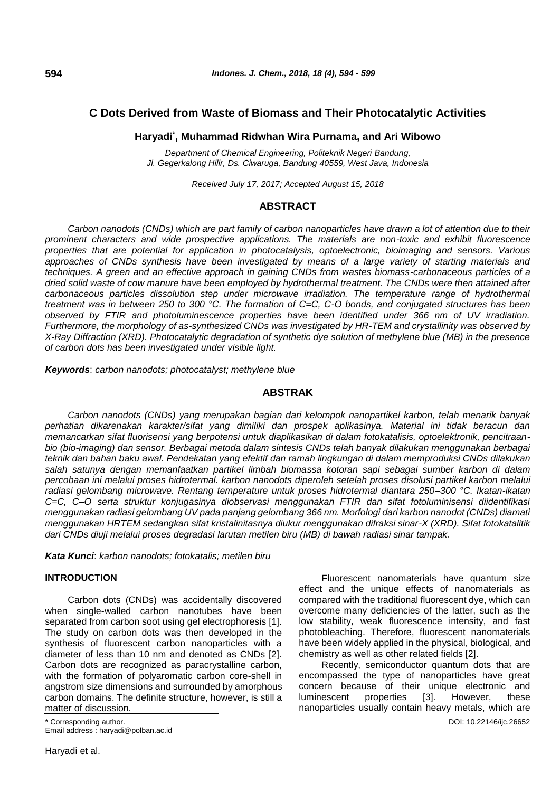# **C Dots Derived from Waste of Biomass and Their Photocatalytic Activities**

### **Haryadi\* , Muhammad Ridwhan Wira Purnama, and Ari Wibowo**

*Department of Chemical Engineering, Politeknik Negeri Bandung, Jl. Gegerkalong Hilir, Ds. Ciwaruga, Bandung 40559, West Java, Indonesia*

*Received July 17, 2017; Accepted August 15, 2018*

### **ABSTRACT**

*Carbon nanodots (CNDs) which are part family of carbon nanoparticles have drawn a lot of attention due to their prominent characters and wide prospective applications. The materials are non-toxic and exhibit fluorescence properties that are potential for application in photocatalysis, optoelectronic, bioimaging and sensors. Various approaches of CNDs synthesis have been investigated by means of a large variety of starting materials and techniques. A green and an effective approach in gaining CNDs from wastes biomass-carbonaceous particles of a dried solid waste of cow manure have been employed by hydrothermal treatment. The CNDs were then attained after carbonaceous particles dissolution step under microwave irradiation. The temperature range of hydrothermal treatment was in between 250 to 300 °C. The formation of C=C, C-O bonds, and conjugated structures has been observed by FTIR and photoluminescence properties have been identified under 366 nm of UV irradiation. Furthermore, the morphology of as-synthesized CNDs was investigated by HR-TEM and crystallinity was observed by X-Ray Diffraction (XRD). Photocatalytic degradation of synthetic dye solution of methylene blue (MB) in the presence of carbon dots has been investigated under visible light.*

*Keywords*: *carbon nanodots; photocatalyst; methylene blue*

### **ABSTRAK**

*Carbon nanodots (CNDs) yang merupakan bagian dari kelompok nanopartikel karbon, telah menarik banyak perhatian dikarenakan karakter/sifat yang dimiliki dan prospek aplikasinya. Material ini tidak beracun dan memancarkan sifat fluorisensi yang berpotensi untuk diaplikasikan di dalam fotokatalisis, optoelektronik, pencitraanbio (bio-imaging) dan sensor. Berbagai metoda dalam sintesis CNDs telah banyak dilakukan menggunakan berbagai teknik dan bahan baku awal. Pendekatan yang efektif dan ramah lingkungan di dalam memproduksi CNDs dilakukan salah satunya dengan memanfaatkan partikel limbah biomassa kotoran sapi sebagai sumber karbon di dalam percobaan ini melalui proses hidrotermal. karbon nanodots diperoleh setelah proses disolusi partikel karbon melalui radiasi gelombang microwave. Rentang temperature untuk proses hidrotermal diantara 250–300 °C. Ikatan-ikatan C=C, C–O serta struktur konjugasinya diobservasi menggunakan FTIR dan sifat fotoluminisensi diidentifikasi menggunakan radiasi gelombang UV pada panjang gelombang 366 nm. Morfologi dari karbon nanodot (CNDs) diamati menggunakan HRTEM sedangkan sifat kristalinitasnya diukur menggunakan difraksi sinar-X (XRD). Sifat fotokatalitik dari CNDs diuji melalui proses degradasi larutan metilen biru (MB) di bawah radiasi sinar tampak.*

*Kata Kunci*: *karbon nanodots; fotokatalis; metilen biru*

#### **INTRODUCTION**

Carbon dots (CNDs) was accidentally discovered when single-walled carbon nanotubes have been separated from carbon soot using gel electrophoresis [1]. The study on carbon dots was then developed in the synthesis of fluorescent carbon nanoparticles with a diameter of less than 10 nm and denoted as CNDs [2]. Carbon dots are recognized as paracrystalline carbon, with the formation of polyaromatic carbon core-shell in angstrom size dimensions and surrounded by amorphous carbon domains. The definite structure, however, is still a matter of discussion.

Fluorescent nanomaterials have quantum size effect and the unique effects of nanomaterials as compared with the traditional fluorescent dye, which can overcome many deficiencies of the latter, such as the low stability, weak fluorescence intensity, and fast photobleaching. Therefore, fluorescent nanomaterials have been widely applied in the physical, biological, and chemistry as well as other related fields [2].

Recently, semiconductor quantum dots that are encompassed the type of nanoparticles have great concern because of their unique electronic and luminescent properties [3]. However, these nanoparticles usually contain heavy metals, which are

**594**

<sup>\*</sup> Corresponding author. DOI: 10.22146/ijc.26652 Email address : haryadi@polban.ac.id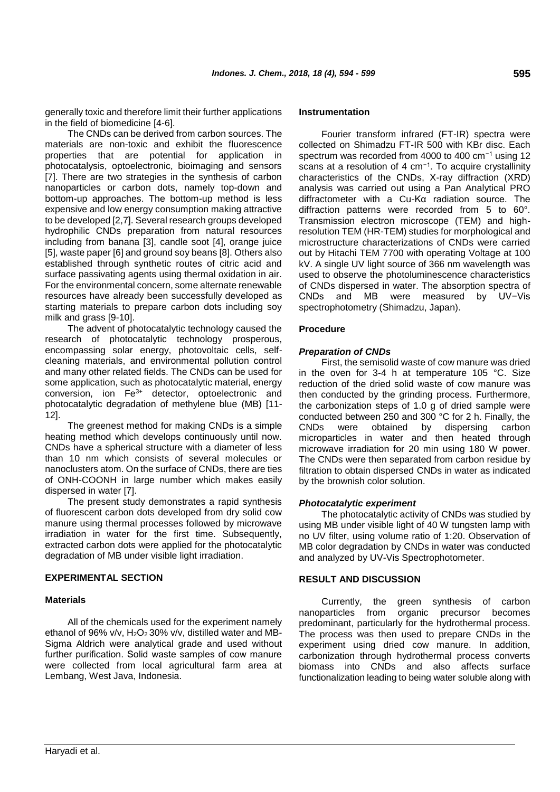generally toxic and therefore limit their further applications in the field of biomedicine [4-6].

The CNDs can be derived from carbon sources. The materials are non-toxic and exhibit the fluorescence properties that are potential for application in photocatalysis, optoelectronic, bioimaging and sensors [7]. There are two strategies in the synthesis of carbon nanoparticles or carbon dots, namely top-down and bottom-up approaches. The bottom-up method is less expensive and low energy consumption making attractive to be developed [2,7]. Several research groups developed hydrophilic CNDs preparation from natural resources including from banana [3], candle soot [4], orange juice [5], waste paper [6] and ground soy beans [8]. Others also established through synthetic routes of citric acid and surface passivating agents using thermal oxidation in air. For the environmental concern, some alternate renewable resources have already been successfully developed as starting materials to prepare carbon dots including soy milk and grass [9-10].

The advent of photocatalytic technology caused the research of photocatalytic technology prosperous, encompassing solar energy, photovoltaic cells, selfcleaning materials, and environmental pollution control and many other related fields. The CNDs can be used for some application, such as photocatalytic material, energy conversion, ion Fe3+ detector, optoelectronic and photocatalytic degradation of methylene blue (MB) [11- 12].

The greenest method for making CNDs is a simple heating method which develops continuously until now. CNDs have a spherical structure with a diameter of less than 10 nm which consists of several molecules or nanoclusters atom. On the surface of CNDs, there are ties of ONH-COONH in large number which makes easily dispersed in water [7].

The present study demonstrates a rapid synthesis of fluorescent carbon dots developed from dry solid cow manure using thermal processes followed by microwave irradiation in water for the first time. Subsequently, extracted carbon dots were applied for the photocatalytic degradation of MB under visible light irradiation.

## **EXPERIMENTAL SECTION**

### **Materials**

All of the chemicals used for the experiment namely ethanol of 96% v/v, H<sub>2</sub>O<sub>2</sub> 30% v/v, distilled water and MB-Sigma Aldrich were analytical grade and used without further purification. Solid waste samples of cow manure were collected from local agricultural farm area at Lembang, West Java, Indonesia.

### **Instrumentation**

Fourier transform infrared (FT-IR) spectra were collected on Shimadzu FT-IR 500 with KBr disc. Each spectrum was recorded from 4000 to 400 cm−1 using 12 scans at a resolution of 4 cm<sup>-1</sup>. To acquire crystallinity characteristics of the CNDs, X-ray diffraction (XRD) analysis was carried out using a Pan Analytical PRO diffractometer with a Cu-Kα radiation source. The diffraction patterns were recorded from 5 to 60°. Transmission electron microscope (TEM) and highresolution TEM (HR-TEM) studies for morphological and microstructure characterizations of CNDs were carried out by Hitachi TEM 7700 with operating Voltage at 100 kV. A single UV light source of 366 nm wavelength was used to observe the photoluminescence characteristics of CNDs dispersed in water. The absorption spectra of CNDs and MB were measured by UV−Vis spectrophotometry (Shimadzu, Japan).

### **Procedure**

### *Preparation of CNDs*

First, the semisolid waste of cow manure was dried in the oven for 3-4 h at temperature 105 °C. Size reduction of the dried solid waste of cow manure was then conducted by the grinding process. Furthermore, the carbonization steps of 1.0 g of dried sample were conducted between 250 and 300 °C for 2 h. Finally, the CNDs were obtained by dispersing carbon microparticles in water and then heated through microwave irradiation for 20 min using 180 W power. The CNDs were then separated from carbon residue by filtration to obtain dispersed CNDs in water as indicated by the brownish color solution.

### *Photocatalytic experiment*

The photocatalytic activity of CNDs was studied by using MB under visible light of 40 W tungsten lamp with no UV filter, using volume ratio of 1:20. Observation of MB color degradation by CNDs in water was conducted and analyzed by UV-Vis Spectrophotometer.

### **RESULT AND DISCUSSION**

Currently, the green synthesis of carbon nanoparticles from organic precursor becomes predominant, particularly for the hydrothermal process. The process was then used to prepare CNDs in the experiment using dried cow manure. In addition, carbonization through hydrothermal process converts biomass into CNDs and also affects surface functionalization leading to being water soluble along with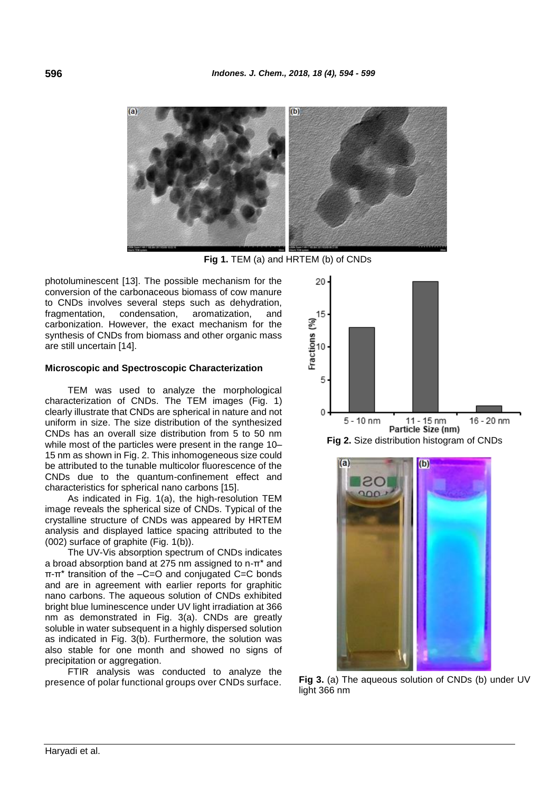

**Fig 1.** TEM (a) and HRTEM (b) of CNDs

photoluminescent [13]. The possible mechanism for the conversion of the carbonaceous biomass of cow manure to CNDs involves several steps such as dehydration, fragmentation, condensation, aromatization, and carbonization. However, the exact mechanism for the synthesis of CNDs from biomass and other organic mass are still uncertain [14].

#### **Microscopic and Spectroscopic Characterization**

TEM was used to analyze the morphological characterization of CNDs. The TEM images (Fig. 1) clearly illustrate that CNDs are spherical in nature and not uniform in size. The size distribution of the synthesized CNDs has an overall size distribution from 5 to 50 nm while most of the particles were present in the range 10– 15 nm as shown in Fig. 2. This inhomogeneous size could be attributed to the tunable multicolor fluorescence of the CNDs due to the quantum-confinement effect and characteristics for spherical nano carbons [15].

As indicated in Fig. 1(a), the high-resolution TEM image reveals the spherical size of CNDs. Typical of the crystalline structure of CNDs was appeared by HRTEM analysis and displayed lattice spacing attributed to the (002) surface of graphite (Fig. 1(b)).

The UV-Vis absorption spectrum of CNDs indicates a broad absorption band at 275 nm assigned to n-π\* and π-π\* transition of the –C=O and conjugated C=C bonds and are in agreement with earlier reports for graphitic nano carbons. The aqueous solution of CNDs exhibited bright blue luminescence under UV light irradiation at 366 nm as demonstrated in Fig. 3(a). CNDs are greatly soluble in water subsequent in a highly dispersed solution as indicated in Fig. 3(b). Furthermore, the solution was also stable for one month and showed no signs of precipitation or aggregation.

FTIR analysis was conducted to analyze the presence of polar functional groups over CNDs surface.







**Fig 3.** (a) The aqueous solution of CNDs (b) under UV light 366 nm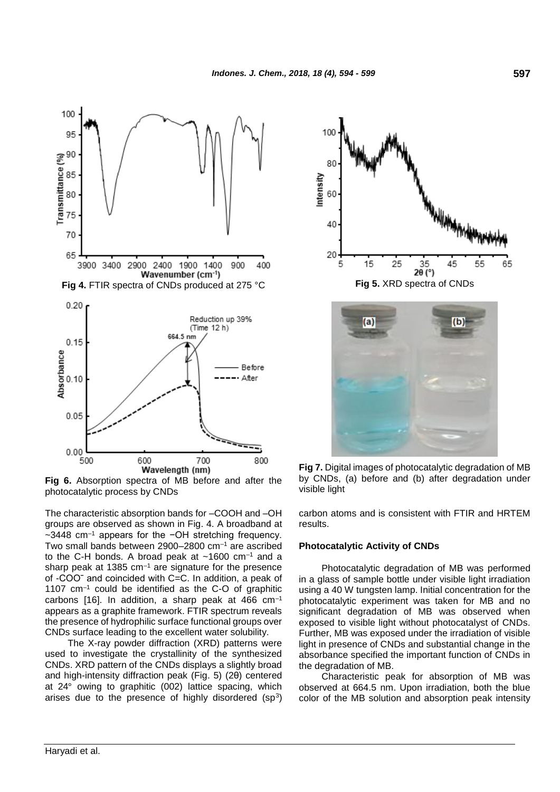

**Fig 6.** Absorption spectra of MB before and after the photocatalytic process by CNDs

The characteristic absorption bands for –COOH and –OH groups are observed as shown in Fig. 4. A broadband at ~3448 cm–1 appears for the −OH stretching frequency. Two small bands between 2900–2800 cm–1 are ascribed to the C-H bonds. A broad peak at  $~1600$  cm<sup>-1</sup> and a sharp peak at 1385  $cm^{-1}$  are signature for the presence of -COOˉ and coincided with C=C. In addition, a peak of 1107 cm–1 could be identified as the C-O of graphitic carbons [16]. In addition, a sharp peak at  $466 \text{ cm}^{-1}$ appears as a graphite framework. FTIR spectrum reveals the presence of hydrophilic surface functional groups over CNDs surface leading to the excellent water solubility.

The X-ray powder diffraction (XRD) patterns were used to investigate the crystallinity of the synthesized CNDs. XRD pattern of the CNDs displays a slightly broad and high-intensity diffraction peak (Fig. 5) (2θ) centered at 24° owing to graphitic (002) lattice spacing, which arises due to the presence of highly disordered  $(sp^3)$ 





**Fig 7.** Digital images of photocatalytic degradation of MB by CNDs, (a) before and (b) after degradation under visible light

carbon atoms and is consistent with FTIR and HRTEM results.

#### **Photocatalytic Activity of CNDs**

Photocatalytic degradation of MB was performed in a glass of sample bottle under visible light irradiation using a 40 W tungsten lamp. Initial concentration for the photocatalytic experiment was taken for MB and no significant degradation of MB was observed when exposed to visible light without photocatalyst of CNDs. Further, MB was exposed under the irradiation of visible light in presence of CNDs and substantial change in the absorbance specified the important function of CNDs in the degradation of MB.

Characteristic peak for absorption of MB was observed at 664.5 nm. Upon irradiation, both the blue color of the MB solution and absorption peak intensity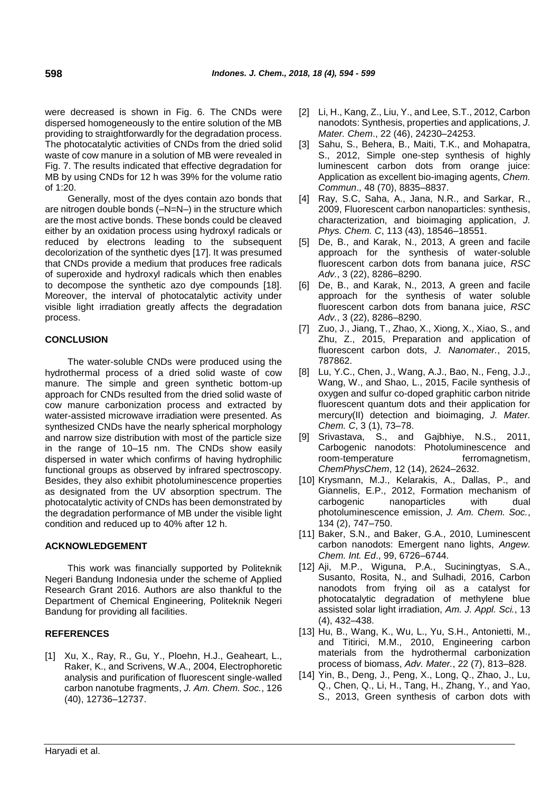were decreased is shown in Fig. 6. The CNDs were dispersed homogeneously to the entire solution of the MB providing to straightforwardly for the degradation process. The photocatalytic activities of CNDs from the dried solid waste of cow manure in a solution of MB were revealed in Fig. 7. The results indicated that effective degradation for MB by using CNDs for 12 h was 39% for the volume ratio of 1:20.

Generally, most of the dyes contain azo bonds that are nitrogen double bonds (–N=N–) in the structure which are the most active bonds. These bonds could be cleaved either by an oxidation process using hydroxyl radicals or reduced by electrons leading to the subsequent decolorization of the synthetic dyes [17]. It was presumed that CNDs provide a medium that produces free radicals of superoxide and hydroxyl radicals which then enables to decompose the synthetic azo dye compounds [18]. Moreover, the interval of photocatalytic activity under visible light irradiation greatly affects the degradation process.

## **CONCLUSION**

The water-soluble CNDs were produced using the hydrothermal process of a dried solid waste of cow manure. The simple and green synthetic bottom-up approach for CNDs resulted from the dried solid waste of cow manure carbonization process and extracted by water-assisted microwave irradiation were presented. As synthesized CNDs have the nearly spherical morphology and narrow size distribution with most of the particle size in the range of 10–15 nm. The CNDs show easily dispersed in water which confirms of having hydrophilic functional groups as observed by infrared spectroscopy. Besides, they also exhibit photoluminescence properties as designated from the UV absorption spectrum. The photocatalytic activity of CNDs has been demonstrated by the degradation performance of MB under the visible light condition and reduced up to 40% after 12 h.

## **ACKNOWLEDGEMENT**

This work was financially supported by Politeknik Negeri Bandung Indonesia under the scheme of Applied Research Grant 2016. Authors are also thankful to the Department of Chemical Engineering, Politeknik Negeri Bandung for providing all facilities.

## **REFERENCES**

[1] Xu, X., Ray, R., Gu, Y., Ploehn, H.J., Geaheart, L., Raker, K., and Scrivens, W.A., 2004, Electrophoretic analysis and purification of fluorescent single-walled carbon nanotube fragments, *J. Am. Chem. Soc.*, 126 (40), 12736–12737.

- [2] Li, H., Kang, Z., Liu, Y., and Lee, S.T., 2012, Carbon nanodots: Synthesis, properties and applications, *J. Mater. Chem*., 22 (46), 24230–24253.
- [3] Sahu, S., Behera, B., Maiti, T.K., and Mohapatra, S., 2012, Simple one-step synthesis of highly luminescent carbon dots from orange juice: Application as excellent bio-imaging agents, *Chem. Commun*., 48 (70), 8835–8837.
- [4] Ray, S.C, Saha, A., Jana, N.R., and Sarkar, R., 2009, Fluorescent carbon nanoparticles: synthesis, characterization, and bioimaging application, *J. Phys. Chem. C*, 113 (43), 18546–18551.
- [5] De, B., and Karak, N., 2013, A green and facile approach for the synthesis of water-soluble fluorescent carbon dots from banana juice, *RSC Adv.*, 3 (22), 8286–8290.
- [6] De, B., and Karak, N., 2013, A green and facile approach for the synthesis of water soluble fluorescent carbon dots from banana juice, *RSC Adv.*, 3 (22), 8286–8290.
- [7] Zuo, J., Jiang, T., Zhao, X., Xiong, X., Xiao, S., and Zhu, Z., 2015, Preparation and application of fluorescent carbon dots, *J. Nanomater.*, 2015, 787862.
- [8] Lu, Y.C., Chen, J., Wang, A.J., Bao, N., Feng, J.J., Wang, W., and Shao, L., 2015, Facile synthesis of oxygen and sulfur co-doped graphitic carbon nitride fluorescent quantum dots and their application for mercury(II) detection and bioimaging, *J. Mater. Chem. C*, 3 (1), 73–78.
- [9] Srivastava, S., and Gajbhiye, N.S., 2011, Carbogenic nanodots: Photoluminescence and room-temperature ferromagnetism, *ChemPhysChem*, 12 (14), 2624–2632.
- [10] Krysmann, M.J., Kelarakis, A., Dallas, P., and Giannelis, E.P., 2012, Formation mechanism of carbogenic nanoparticles with dual photoluminescence emission, *J. Am. Chem. Soc.*, 134 (2), 747–750.
- [11] Baker, S.N., and Baker, G.A., 2010, Luminescent carbon nanodots: Emergent nano lights, *Angew. Chem. Int. Ed*., 99, 6726–6744.
- [12] Aji, M.P., Wiguna, P.A., Suciningtyas, S.A., Susanto, Rosita, N., and Sulhadi, 2016, Carbon nanodots from frying oil as a catalyst for photocatalytic degradation of methylene blue assisted solar light irradiation, *Am. J. Appl. Sci.*, 13 (4), 432–438.
- [13] Hu, B., Wang, K., Wu, L., Yu, S.H., Antonietti, M., and Titirici, M.M., 2010, Engineering carbon materials from the hydrothermal carbonization process of biomass, *Adv. Mater.*, 22 (7), 813–828.
- [14] Yin, B., Deng, J., Peng, X., Long, Q., Zhao, J., Lu, Q., Chen, Q., Li, H., Tang, H., Zhang, Y., and Yao, S., 2013, Green synthesis of carbon dots with